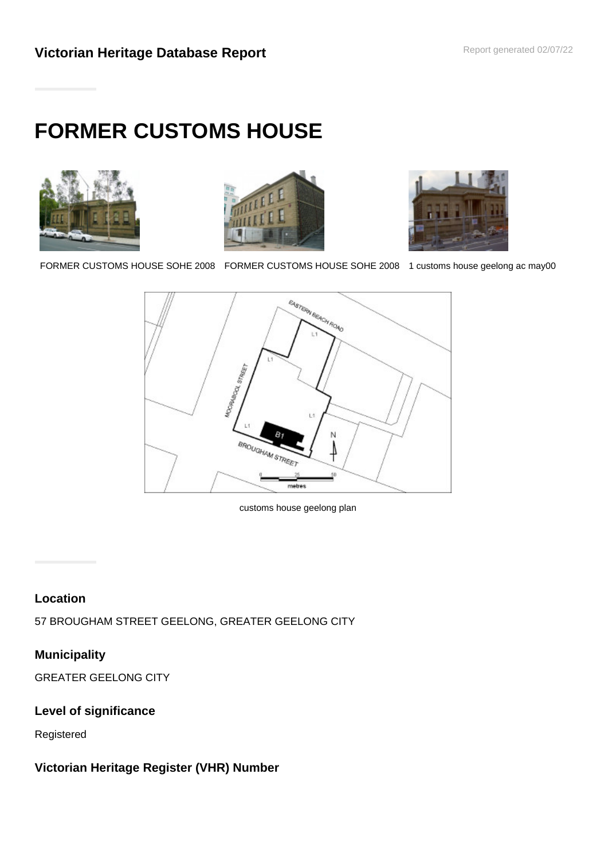# **FORMER CUSTOMS HOUSE**







FORMER CUSTOMS HOUSE SOHE 2008 FORMER CUSTOMS HOUSE SOHE 2008 1 customs house geelong ac may00



customs house geelong plan

## **Location**

57 BROUGHAM STREET GEELONG, GREATER GEELONG CITY

# **Municipality**

GREATER GEELONG CITY

## **Level of significance**

Registered

## **Victorian Heritage Register (VHR) Number**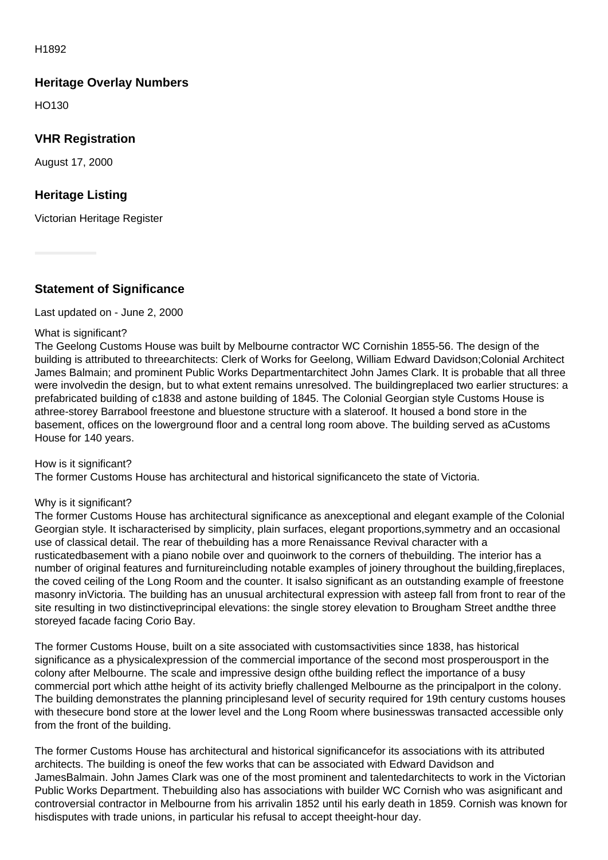H1892

## **Heritage Overlay Numbers**

HO130

## **VHR Registration**

August 17, 2000

## **Heritage Listing**

Victorian Heritage Register

#### **Statement of Significance**

#### Last updated on - June 2, 2000

#### What is significant?

The Geelong Customs House was built by Melbourne contractor WC Cornishin 1855-56. The design of the building is attributed to threearchitects: Clerk of Works for Geelong, William Edward Davidson;Colonial Architect James Balmain; and prominent Public Works Departmentarchitect John James Clark. It is probable that all three were involvedin the design, but to what extent remains unresolved. The buildingreplaced two earlier structures: a prefabricated building of c1838 and astone building of 1845. The Colonial Georgian style Customs House is athree-storey Barrabool freestone and bluestone structure with a slateroof. It housed a bond store in the basement, offices on the lowerground floor and a central long room above. The building served as aCustoms House for 140 years.

#### How is it significant?

The former Customs House has architectural and historical significanceto the state of Victoria.

#### Why is it significant?

The former Customs House has architectural significance as anexceptional and elegant example of the Colonial Georgian style. It ischaracterised by simplicity, plain surfaces, elegant proportions,symmetry and an occasional use of classical detail. The rear of thebuilding has a more Renaissance Revival character with a rusticatedbasement with a piano nobile over and quoinwork to the corners of thebuilding. The interior has a number of original features and furnitureincluding notable examples of joinery throughout the building,fireplaces, the coved ceiling of the Long Room and the counter. It isalso significant as an outstanding example of freestone masonry inVictoria. The building has an unusual architectural expression with asteep fall from front to rear of the site resulting in two distinctiveprincipal elevations: the single storey elevation to Brougham Street andthe three storeyed facade facing Corio Bay.

The former Customs House, built on a site associated with customsactivities since 1838, has historical significance as a physicalexpression of the commercial importance of the second most prosperousport in the colony after Melbourne. The scale and impressive design ofthe building reflect the importance of a busy commercial port which atthe height of its activity briefly challenged Melbourne as the principalport in the colony. The building demonstrates the planning principlesand level of security required for 19th century customs houses with thesecure bond store at the lower level and the Long Room where businesswas transacted accessible only from the front of the building.

The former Customs House has architectural and historical significancefor its associations with its attributed architects. The building is oneof the few works that can be associated with Edward Davidson and JamesBalmain. John James Clark was one of the most prominent and talentedarchitects to work in the Victorian Public Works Department. Thebuilding also has associations with builder WC Cornish who was asignificant and controversial contractor in Melbourne from his arrivalin 1852 until his early death in 1859. Cornish was known for hisdisputes with trade unions, in particular his refusal to accept theeight-hour day.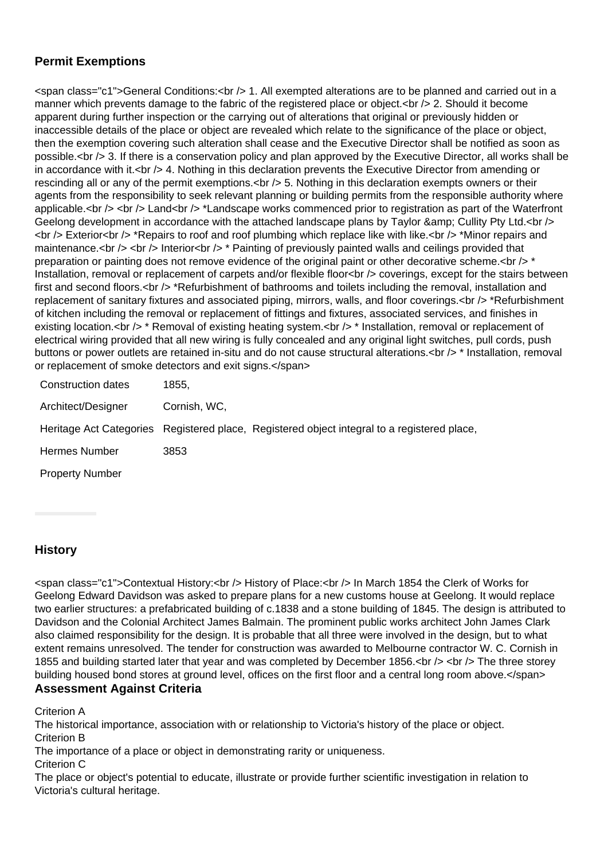## **Permit Exemptions**

<span class="c1">General Conditions:<br /> 1. All exempted alterations are to be planned and carried out in a manner which prevents damage to the fabric of the registered place or object.<br />> 2. Should it become apparent during further inspection or the carrying out of alterations that original or previously hidden or inaccessible details of the place or object are revealed which relate to the significance of the place or object, then the exemption covering such alteration shall cease and the Executive Director shall be notified as soon as possible.<br /> 3. If there is a conservation policy and plan approved by the Executive Director, all works shall be in accordance with it.  $\langle$ br  $/$  4. Nothing in this declaration prevents the Executive Director from amending or rescinding all or any of the permit exemptions.<br />> 5. Nothing in this declaration exempts owners or their agents from the responsibility to seek relevant planning or building permits from the responsible authority where applicable.<br /> <br /> Land<br />>tor  $\lambda$  \*Landscape works commenced prior to registration as part of the Waterfront Geelong development in accordance with the attached landscape plans by Taylor & amp; Cullity Pty Ltd.<br  $\sim$ <br /> Exterior<br /> \*Repairs to roof and roof plumbing which replace like with like.<br /> \*Minor repairs and maintenance.<br /> <br /> Interior<br />> \* Painting of previously painted walls and ceilings provided that preparation or painting does not remove evidence of the original paint or other decorative scheme. $\langle$ br  $\rangle$  \* Installation, removal or replacement of carpets and/or flexible floor<br />
low coverings, except for the stairs between first and second floors.<br /> \*Refurbishment of bathrooms and toilets including the removal, installation and replacement of sanitary fixtures and associated piping, mirrors, walls, and floor coverings.<br />
\*Refurbishment of kitchen including the removal or replacement of fittings and fixtures, associated services, and finishes in existing location.<br /> \* Removal of existing heating system.<br />> \* Installation, removal or replacement of electrical wiring provided that all new wiring is fully concealed and any original light switches, pull cords, push buttons or power outlets are retained in-situ and do not cause structural alterations.<br />
theration, removal or replacement of smoke detectors and exit signs.</span>

| <b>Construction dates</b> | 1855.        |                                                                                             |
|---------------------------|--------------|---------------------------------------------------------------------------------------------|
| Architect/Designer        | Cornish, WC, |                                                                                             |
|                           |              | Heritage Act Categories Registered place, Registered object integral to a registered place, |
| <b>Hermes Number</b>      | 3853         |                                                                                             |
| <b>Property Number</b>    |              |                                                                                             |

## **History**

<span class="c1">Contextual History:<br /> History of Place:<br /> In March 1854 the Clerk of Works for Geelong Edward Davidson was asked to prepare plans for a new customs house at Geelong. It would replace two earlier structures: a prefabricated building of c.1838 and a stone building of 1845. The design is attributed to Davidson and the Colonial Architect James Balmain. The prominent public works architect John James Clark also claimed responsibility for the design. It is probable that all three were involved in the design, but to what extent remains unresolved. The tender for construction was awarded to Melbourne contractor W. C. Cornish in 1855 and building started later that year and was completed by December 1856.<br />> <br />> The three storey building housed bond stores at ground level, offices on the first floor and a central long room above.</span> **Assessment Against Criteria**

Criterion A

The historical importance, association with or relationship to Victoria's history of the place or object. Criterion B

The importance of a place or object in demonstrating rarity or uniqueness.

Criterion C

The place or object's potential to educate, illustrate or provide further scientific investigation in relation to Victoria's cultural heritage.